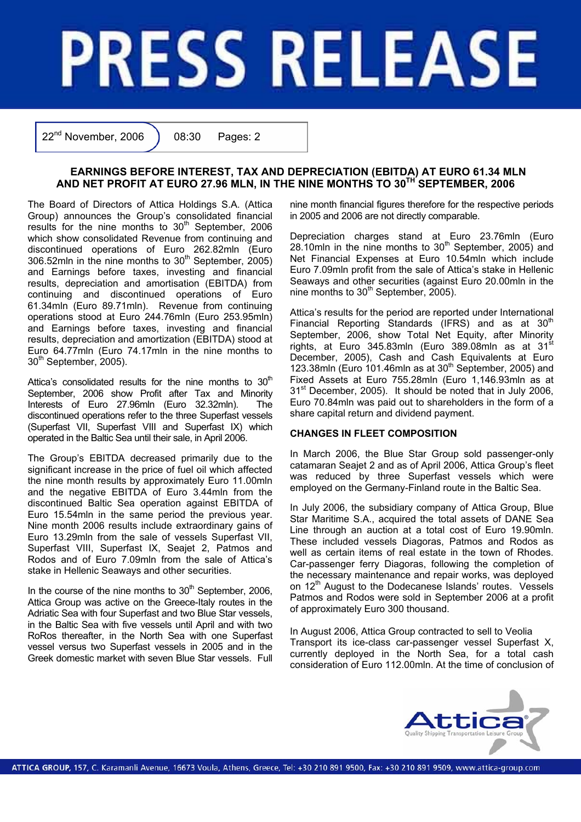# **PRESS RELEASE**

 $22<sup>nd</sup>$  November, 2006  $\big)$  08:30 Pages: 2

# **EARNINGS BEFORE INTEREST, TAX AND DEPRECIATION (EBITDA) AT EURO 61.34 MLN AND NET PROFIT AT EURO 27.96 MLN, IN THE NINE MONTHS TO 30TH SEPTEMBER, 2006**

The Board of Directors of Attica Holdings S.A. (Attica Group) announces the Group's consolidated financial results for the nine months to  $30<sup>th</sup>$  September, 2006 which show consolidated Revenue from continuing and discontinued operations of Euro 262.82mln (Euro 306.52mln in the nine months to  $30<sup>th</sup>$  September, 2005) and Earnings before taxes, investing and financial results, depreciation and amortisation (EBITDA) from continuing and discontinued operations of Euro 61.34mln (Euro 89.71mln). Revenue from continuing operations stood at Euro 244.76mln (Euro 253.95mln) and Earnings before taxes, investing and financial results, depreciation and amortization (EBITDA) stood at Euro 64.77mln (Euro 74.17mln in the nine months to  $30<sup>th</sup>$  September, 2005).

Attica's consolidated results for the nine months to  $30<sup>th</sup>$ September, 2006 show Profit after Tax and Minority Interests of Euro 27.96mln (Euro 32.32mln). The discontinued operations refer to the three Superfast vessels (Superfast VII, Superfast VIII and Superfast IX) which operated in the Baltic Sea until their sale, in April 2006.

The Group's EBITDA decreased primarily due to the significant increase in the price of fuel oil which affected the nine month results by approximately Euro 11.00mln and the negative EBITDA of Euro 3.44mln from the discontinued Baltic Sea operation against EBITDA of Euro 15.54mln in the same period the previous year. Nine month 2006 results include extraordinary gains of Euro 13.29mln from the sale of vessels Superfast VII, Superfast VIII, Superfast IX, Seajet 2, Patmos and Rodos and of Euro 7.09mln from the sale of Attica's stake in Hellenic Seaways and other securities.

In the course of the nine months to  $30<sup>th</sup>$  September, 2006, Attica Group was active on the Greece-Italy routes in the Adriatic Sea with four Superfast and two Blue Star vessels, in the Baltic Sea with five vessels until April and with two RoRos thereafter, in the North Sea with one Superfast vessel versus two Superfast vessels in 2005 and in the Greek domestic market with seven Blue Star vessels. Full

nine month financial figures therefore for the respective periods in 2005 and 2006 are not directly comparable.

Depreciation charges stand at Euro 23.76mln (Euro 28.10mln in the nine months to  $30<sup>th</sup>$  September, 2005) and Net Financial Expenses at Euro 10.54mln which include Euro 7.09mln profit from the sale of Attica's stake in Hellenic Seaways and other securities (against Euro 20.00mln in the nine months to  $30<sup>th</sup>$  September, 2005).

Attica's results for the period are reported under International Financial Reporting Standards (IFRS) and as at  $30<sup>th</sup>$ September, 2006, show Total Net Equity, after Minority rights, at Euro 345.83mln (Euro 389.08mln as at 31 $^{\rm st}$ December, 2005), Cash and Cash Equivalents at Euro 123.38mln (Euro 101.46mln as at  $30<sup>th</sup>$  September, 2005) and Fixed Assets at Euro 755.28mln (Euro 1,146.93mln as at 31<sup>st</sup> December, 2005). It should be noted that in July 2006, Euro 70.84mln was paid out to shareholders in the form of a share capital return and dividend payment.

## **CHANGES IN FLEET COMPOSITION**

In March 2006, the Blue Star Group sold passenger-only catamaran Seajet 2 and as of April 2006, Attica Group's fleet was reduced by three Superfast vessels which were employed on the Germany-Finland route in the Baltic Sea.

In July 2006, the subsidiary company of Attica Group, Blue Star Maritime S.Α., acquired the total assets of DΑΝΕ Sea Line through an auction at a total cost of Euro 19.90mln. These included vessels Diagoras, Patmos and Rodos as well as certain items of real estate in the town of Rhodes. Car-passenger ferry Diagoras, following the completion of the necessary maintenance and repair works, was deployed on 12<sup>th</sup> August to the Dodecanese Islands' routes. Vessels Patmos and Rodos were sold in September 2006 at a profit of approximately Euro 300 thousand.

In August 2006, Attica Group contracted to sell to Veolia Transport its ice-class car-passenger vessel Superfast X, currently deployed in the North Sea, for a total cash consideration of Euro 112.00mln. At the time of conclusion of